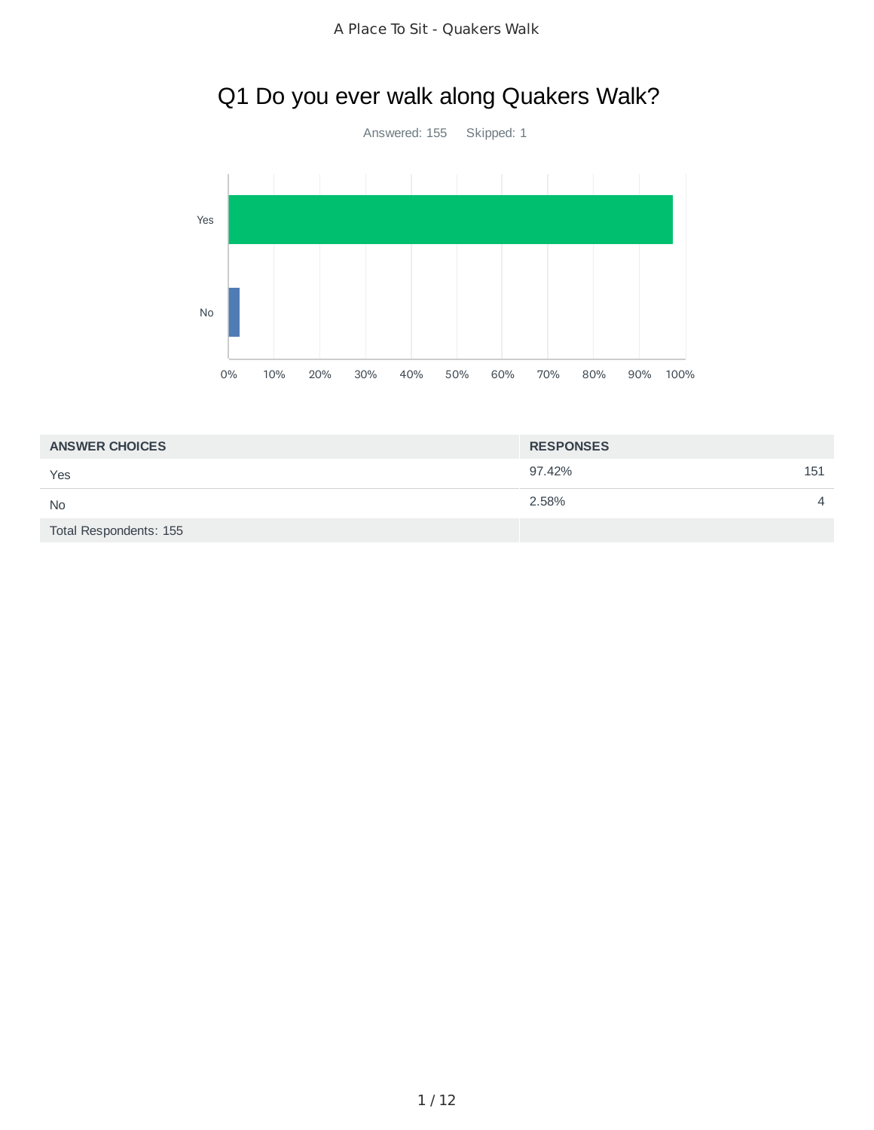# Q1 Do you ever walk along Quakers Walk?



| <b>ANSWER CHOICES</b>  | <b>RESPONSES</b> |                |
|------------------------|------------------|----------------|
| Yes                    | 97.42%           | 151            |
| <b>No</b>              | 2.58%            | $\overline{4}$ |
| Total Respondents: 155 |                  |                |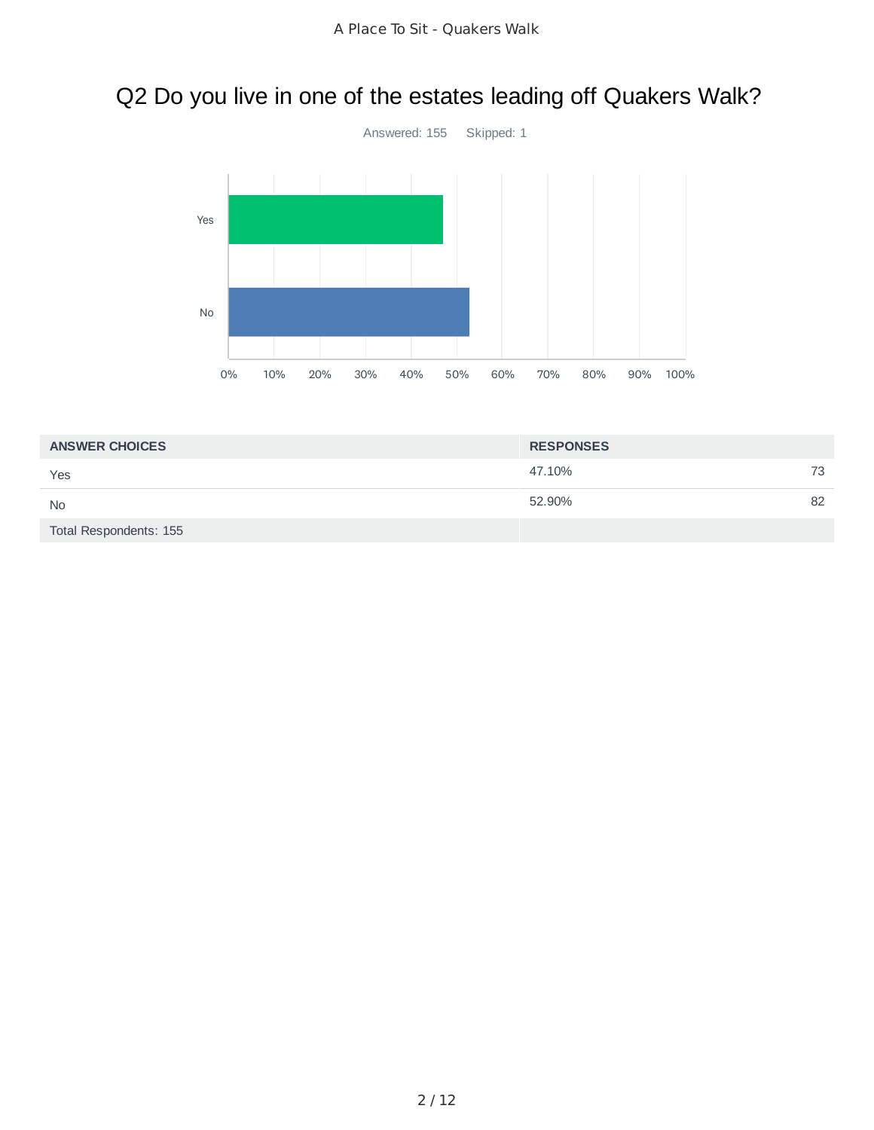# Q2 Do you live in one of the estates leading off Quakers Walk?



| <b>ANSWER CHOICES</b>  | <b>RESPONSES</b> |    |
|------------------------|------------------|----|
| Yes                    | 47.10%           | 73 |
| <b>No</b>              | 52.90%           | 82 |
| Total Respondents: 155 |                  |    |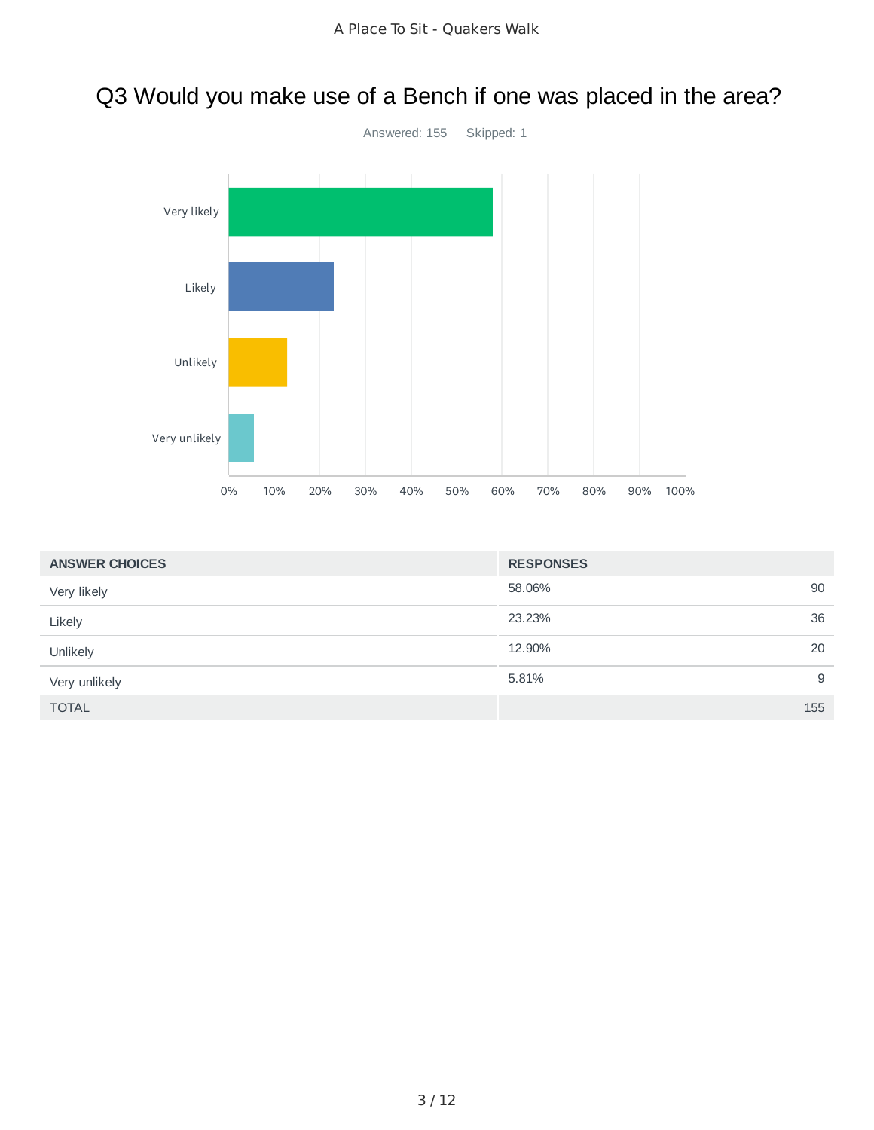# Q3 Would you make use of a Bench if one was placed in the area?



| <b>ANSWER CHOICES</b> | <b>RESPONSES</b> |     |
|-----------------------|------------------|-----|
| Very likely           | 58.06%           | 90  |
| Likely                | 23.23%           | 36  |
| Unlikely              | 12.90%           | 20  |
| Very unlikely         | 5.81%            | 9   |
| <b>TOTAL</b>          |                  | 155 |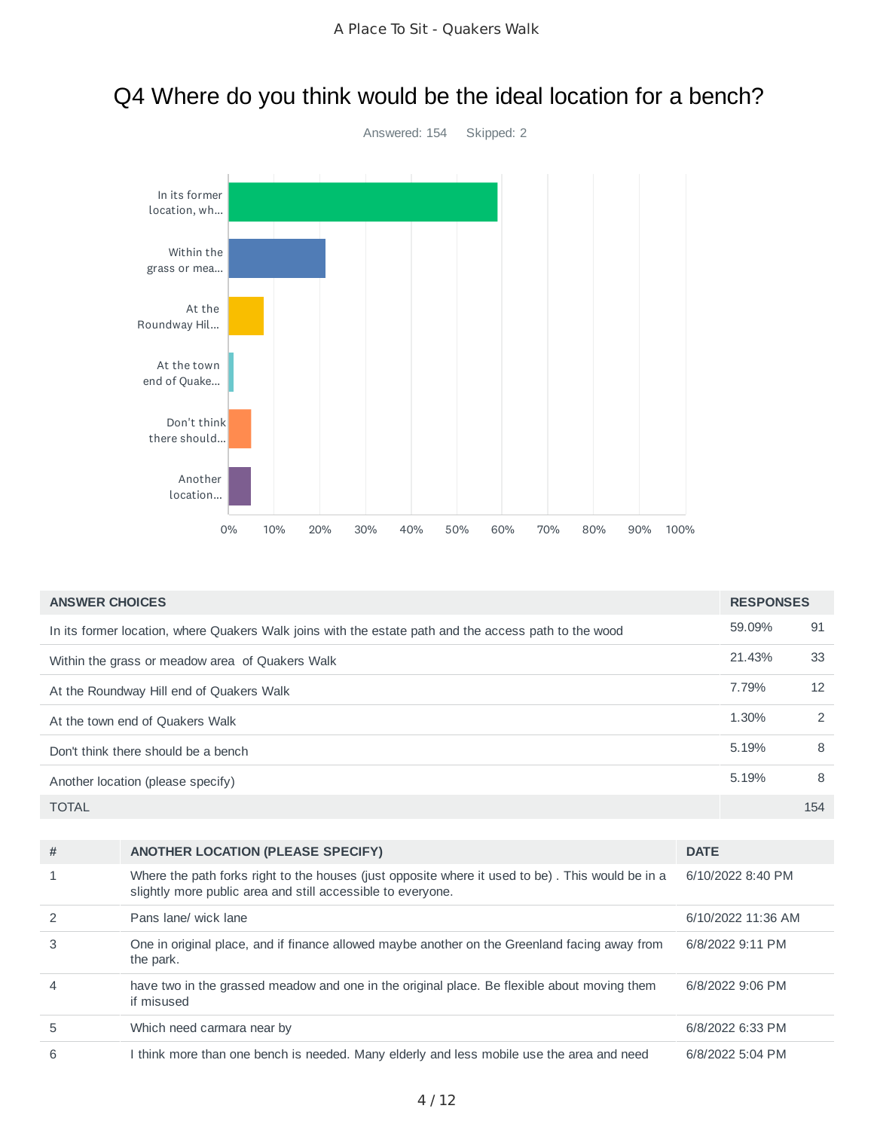

### Q4 Where do you think would be the ideal location for a bench?

| <b>ANSWER CHOICES</b> |                                                                                                                                                                 |             | <b>RESPONSES</b>   |     |
|-----------------------|-----------------------------------------------------------------------------------------------------------------------------------------------------------------|-------------|--------------------|-----|
|                       | In its former location, where Quakers Walk joins with the estate path and the access path to the wood                                                           |             | 59.09%             | 91  |
|                       | Within the grass or meadow area of Quakers Walk                                                                                                                 |             | 21.43%             | 33  |
|                       | At the Roundway Hill end of Quakers Walk                                                                                                                        |             | 7.79%              | 12  |
|                       | At the town end of Quakers Walk                                                                                                                                 |             | 1.30%              | 2   |
|                       | Don't think there should be a bench                                                                                                                             |             | 5.19%              | 8   |
|                       | Another location (please specify)                                                                                                                               |             | 5.19%              | 8   |
| <b>TOTAL</b>          |                                                                                                                                                                 |             |                    | 154 |
|                       |                                                                                                                                                                 |             |                    |     |
| #                     | <b>ANOTHER LOCATION (PLEASE SPECIFY)</b>                                                                                                                        | <b>DATE</b> |                    |     |
| 1                     | Where the path forks right to the houses (just opposite where it used to be). This would be in a<br>slightly more public area and still accessible to everyone. |             | 6/10/2022 8:40 PM  |     |
| 2                     | Pans lane/ wick lane                                                                                                                                            |             | 6/10/2022 11:36 AM |     |
| 3                     | One in original place, and if finance allowed maybe another on the Greenland facing away from<br>the park.                                                      |             | 6/8/2022 9:11 PM   |     |
| 4                     | have two in the grassed meadow and one in the original place. Be flexible about moving them<br>if misused                                                       |             | 6/8/2022 9:06 PM   |     |
| 5                     | Which need carmara near by                                                                                                                                      |             | 6/8/2022 6:33 PM   |     |

6 I think more than one bench is needed. Many elderly and less mobile use the area and need 6/8/2022 5:04 PM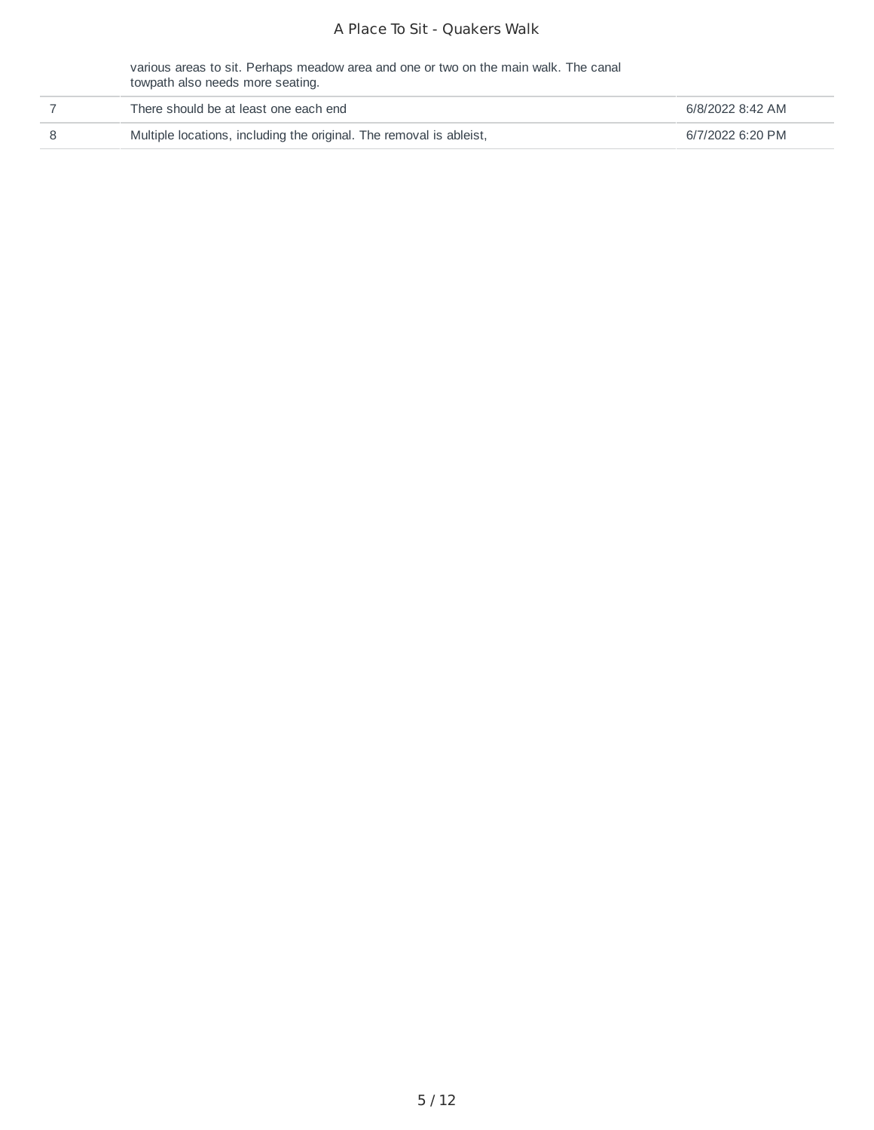#### A Place To Sit - Quakers Walk

various areas to sit. Perhaps meadow area and one or two on the main walk. The canal towpath also needs more seating.

| There should be at least one each end                               | 6/8/2022 8:42 AM |
|---------------------------------------------------------------------|------------------|
| Multiple locations, including the original. The removal is ableist, | 6/7/2022 6:20 PM |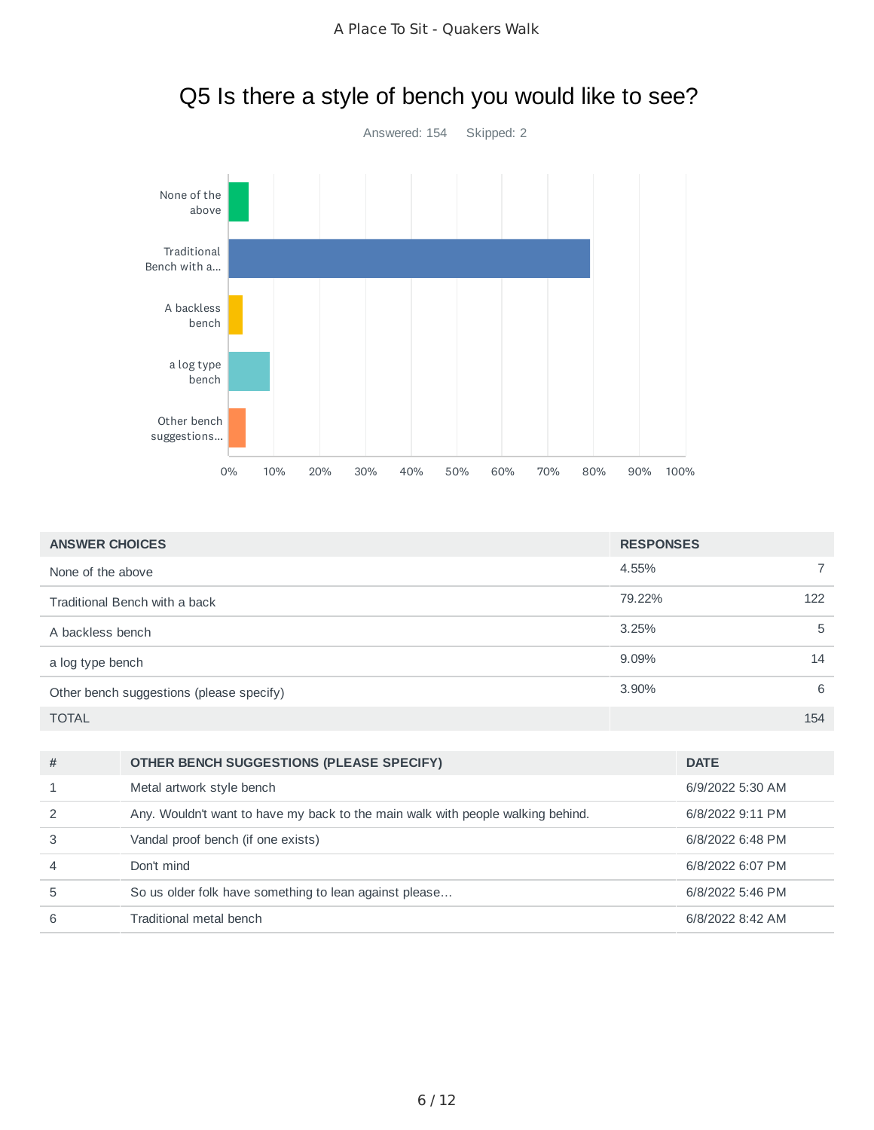Q5 Is there a style of bench you would like to see?



| <b>ANSWER CHOICES</b>                    | <b>RESPONSES</b> |                |
|------------------------------------------|------------------|----------------|
| None of the above                        | 4.55%            | $\overline{7}$ |
| Traditional Bench with a back            | 79.22%           | 122            |
| A backless bench                         | 3.25%            | 5              |
| a log type bench                         | 9.09%            | 14             |
| Other bench suggestions (please specify) | 3.90%            | 6              |
| <b>TOTAL</b>                             |                  | 154            |

| #              | OTHER BENCH SUGGESTIONS (PLEASE SPECIFY)                                        | <b>DATE</b>      |
|----------------|---------------------------------------------------------------------------------|------------------|
|                | Metal artwork style bench                                                       | 6/9/2022 5:30 AM |
|                | Any. Wouldn't want to have my back to the main walk with people walking behind. | 6/8/2022 9:11 PM |
|                | Vandal proof bench (if one exists)                                              | 6/8/2022 6:48 PM |
| $\overline{4}$ | Don't mind                                                                      | 6/8/2022 6:07 PM |
| 5              | So us older folk have something to lean against please                          | 6/8/2022 5:46 PM |
| 6              | Traditional metal bench                                                         | 6/8/2022 8:42 AM |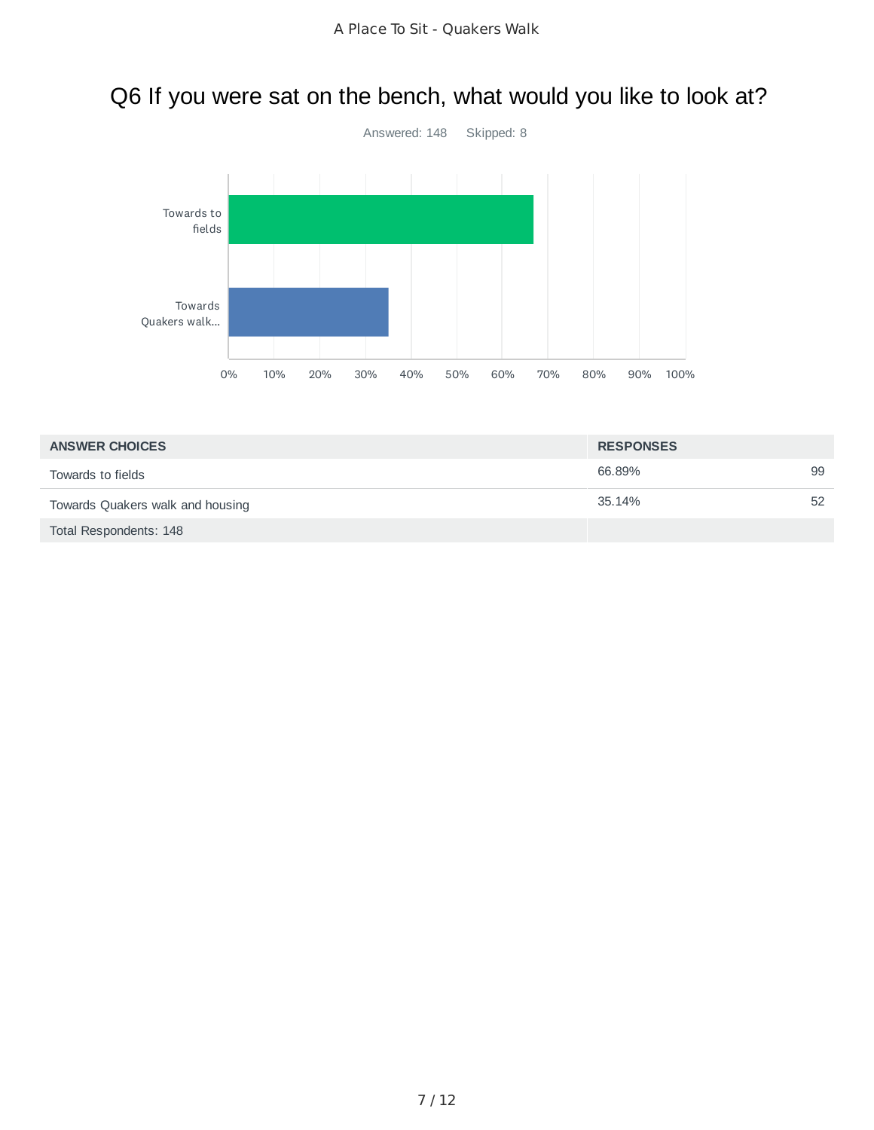# Q6 If you were sat on the bench, what would you like to look at?



| <b>ANSWER CHOICES</b>            | <b>RESPONSES</b> |    |
|----------------------------------|------------------|----|
| Towards to fields                | 66.89%           | 99 |
| Towards Quakers walk and housing | 35.14%           | 52 |
| Total Respondents: 148           |                  |    |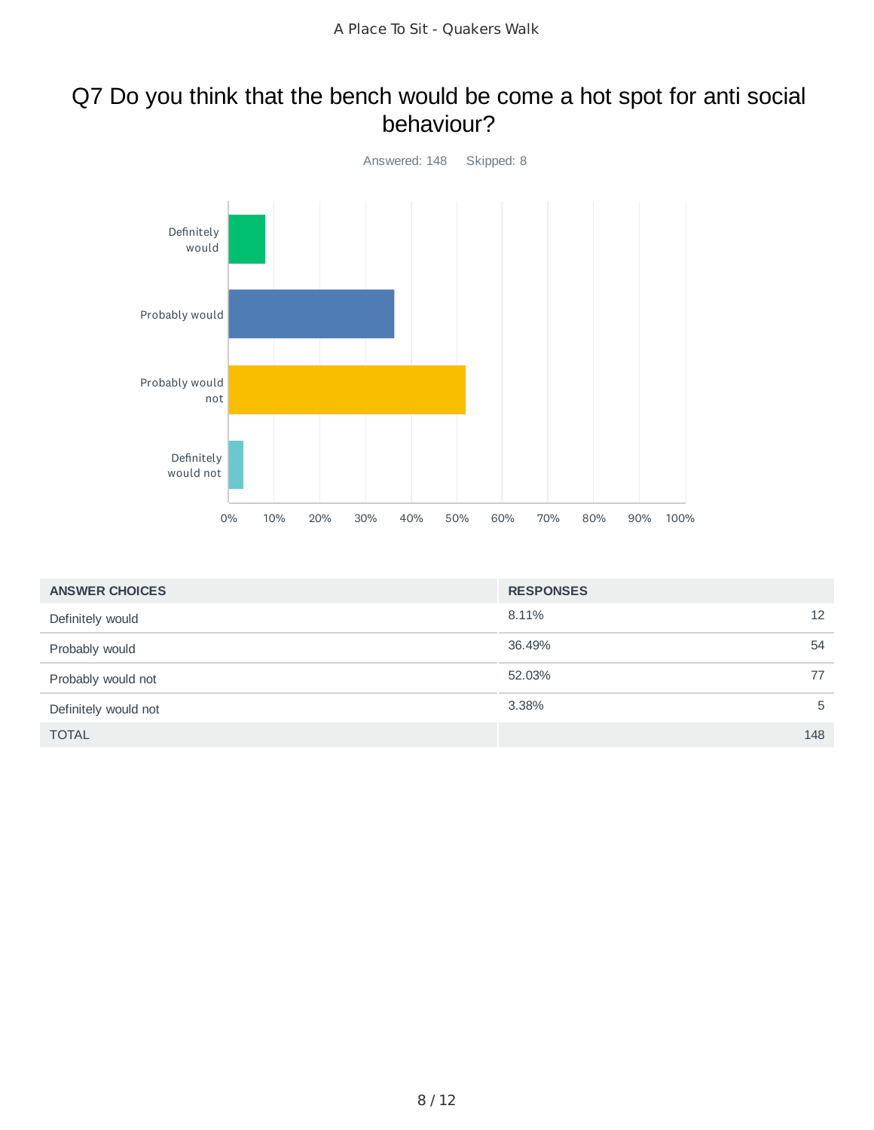### Q7 Do you think that the bench would be come a hot spot for anti social behaviour?



| <b>ANSWER CHOICES</b> | <b>RESPONSES</b> |     |
|-----------------------|------------------|-----|
| Definitely would      | 8.11%            | 12  |
| Probably would        | 36.49%           | 54  |
| Probably would not    | 52.03%           | 77  |
| Definitely would not  | 3.38%            | 5   |
| <b>TOTAL</b>          |                  | 148 |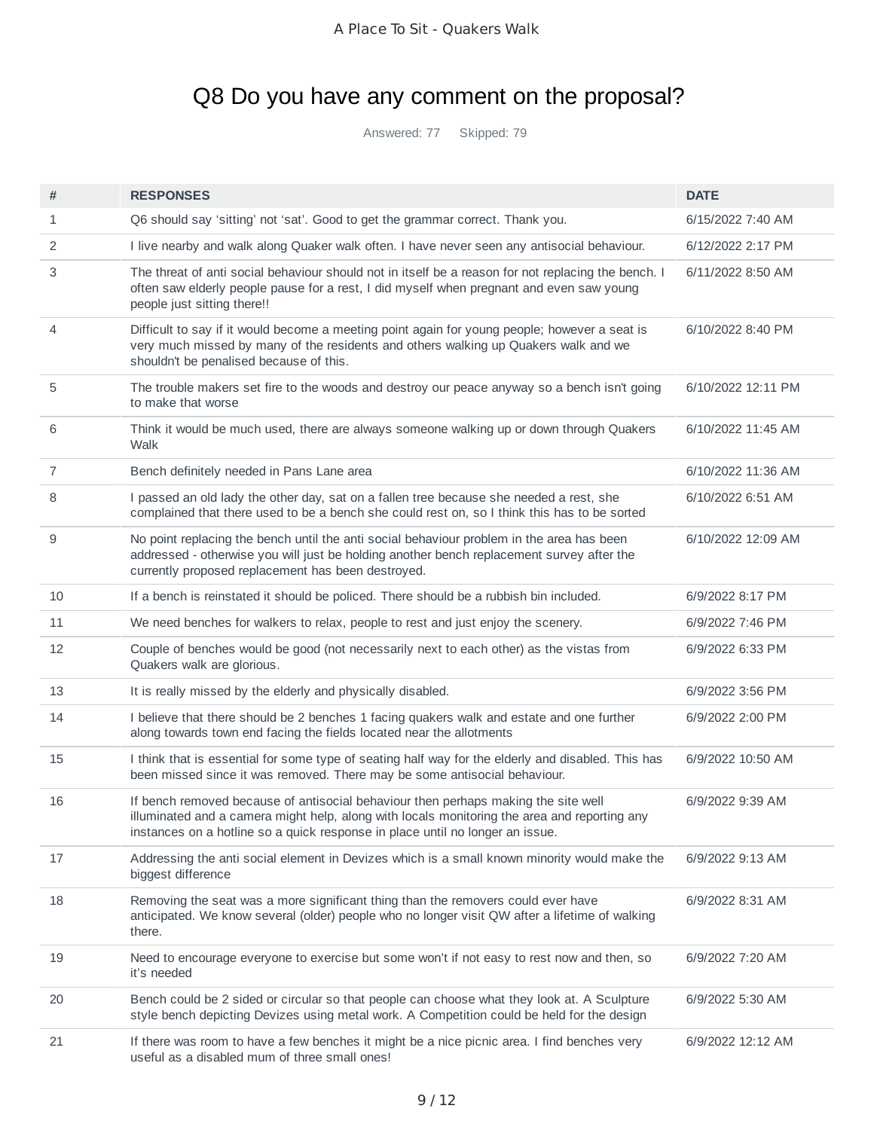# Q8 Do you have any comment on the proposal?

Answered: 77 Skipped: 79

| #            | <b>RESPONSES</b>                                                                                                                                                                                                                                                    | <b>DATE</b>        |
|--------------|---------------------------------------------------------------------------------------------------------------------------------------------------------------------------------------------------------------------------------------------------------------------|--------------------|
| $\mathbf{1}$ | Q6 should say 'sitting' not 'sat'. Good to get the grammar correct. Thank you.                                                                                                                                                                                      | 6/15/2022 7:40 AM  |
| 2            | I live nearby and walk along Quaker walk often. I have never seen any antisocial behaviour.                                                                                                                                                                         | 6/12/2022 2:17 PM  |
| 3            | The threat of anti social behaviour should not in itself be a reason for not replacing the bench. I<br>often saw elderly people pause for a rest, I did myself when pregnant and even saw young<br>people just sitting there!!                                      | 6/11/2022 8:50 AM  |
| 4            | Difficult to say if it would become a meeting point again for young people; however a seat is<br>very much missed by many of the residents and others walking up Quakers walk and we<br>shouldn't be penalised because of this.                                     | 6/10/2022 8:40 PM  |
| 5            | The trouble makers set fire to the woods and destroy our peace anyway so a bench isn't going<br>to make that worse                                                                                                                                                  | 6/10/2022 12:11 PM |
| 6            | Think it would be much used, there are always someone walking up or down through Quakers<br>Walk                                                                                                                                                                    | 6/10/2022 11:45 AM |
| 7            | Bench definitely needed in Pans Lane area                                                                                                                                                                                                                           | 6/10/2022 11:36 AM |
| 8            | I passed an old lady the other day, sat on a fallen tree because she needed a rest, she<br>complained that there used to be a bench she could rest on, so I think this has to be sorted                                                                             | 6/10/2022 6:51 AM  |
| 9            | No point replacing the bench until the anti social behaviour problem in the area has been<br>addressed - otherwise you will just be holding another bench replacement survey after the<br>currently proposed replacement has been destroyed.                        | 6/10/2022 12:09 AM |
| 10           | If a bench is reinstated it should be policed. There should be a rubbish bin included.                                                                                                                                                                              | 6/9/2022 8:17 PM   |
| 11           | We need benches for walkers to relax, people to rest and just enjoy the scenery.                                                                                                                                                                                    | 6/9/2022 7:46 PM   |
| 12           | Couple of benches would be good (not necessarily next to each other) as the vistas from<br>Quakers walk are glorious.                                                                                                                                               | 6/9/2022 6:33 PM   |
| 13           | It is really missed by the elderly and physically disabled.                                                                                                                                                                                                         | 6/9/2022 3:56 PM   |
| 14           | I believe that there should be 2 benches 1 facing quakers walk and estate and one further<br>along towards town end facing the fields located near the allotments                                                                                                   | 6/9/2022 2:00 PM   |
| 15           | I think that is essential for some type of seating half way for the elderly and disabled. This has<br>been missed since it was removed. There may be some antisocial behaviour.                                                                                     | 6/9/2022 10:50 AM  |
| 16           | If bench removed because of antisocial behaviour then perhaps making the site well<br>illuminated and a camera might help, along with locals monitoring the area and reporting any<br>instances on a hotline so a quick response in place until no longer an issue. | 6/9/2022 9:39 AM   |
| 17           | Addressing the anti social element in Devizes which is a small known minority would make the<br>biggest difference                                                                                                                                                  | 6/9/2022 9:13 AM   |
| 18           | Removing the seat was a more significant thing than the removers could ever have<br>anticipated. We know several (older) people who no longer visit QW after a lifetime of walking<br>there.                                                                        | 6/9/2022 8:31 AM   |
| 19           | Need to encourage everyone to exercise but some won't if not easy to rest now and then, so<br>it's needed                                                                                                                                                           | 6/9/2022 7:20 AM   |
| 20           | Bench could be 2 sided or circular so that people can choose what they look at. A Sculpture<br>style bench depicting Devizes using metal work. A Competition could be held for the design                                                                           | 6/9/2022 5:30 AM   |
| 21           | If there was room to have a few benches it might be a nice picnic area. I find benches very<br>useful as a disabled mum of three small ones!                                                                                                                        | 6/9/2022 12:12 AM  |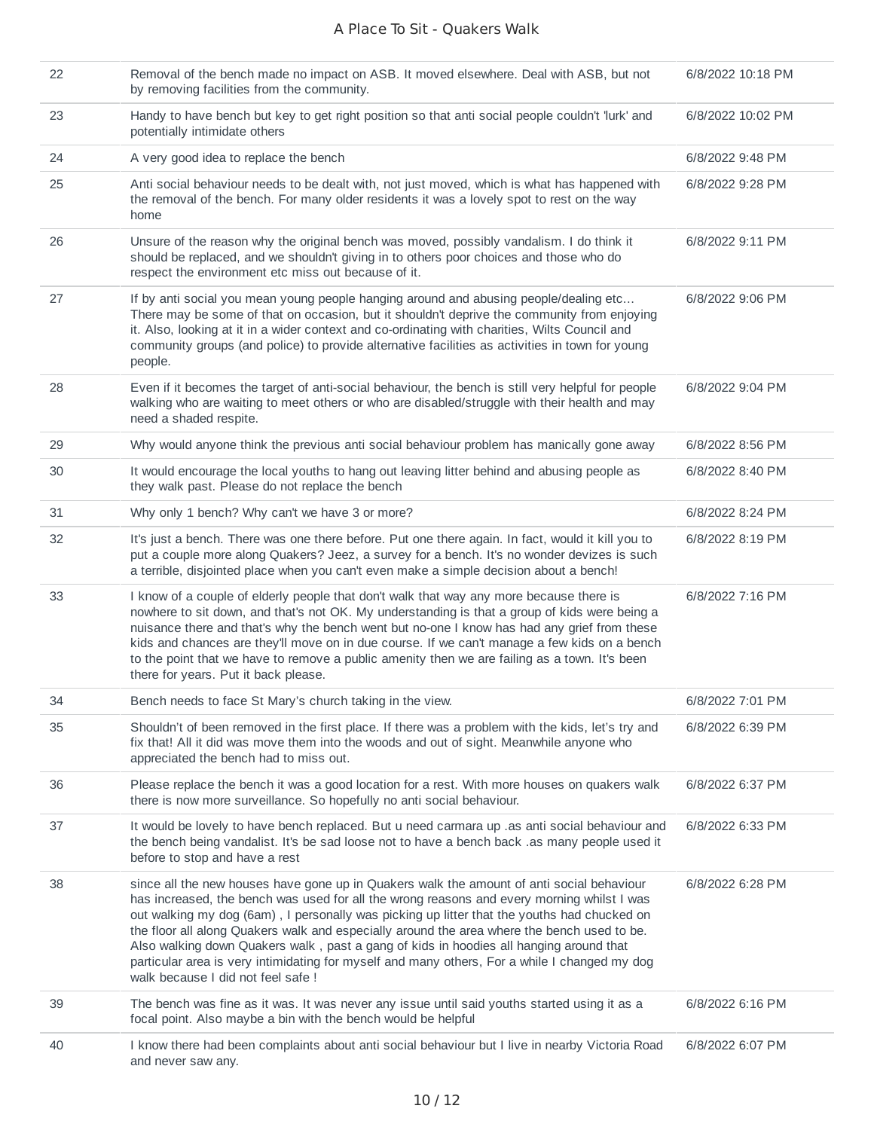| 22 | Removal of the bench made no impact on ASB. It moved elsewhere. Deal with ASB, but not<br>by removing facilities from the community.                                                                                                                                                                                                                                                                                                                                                                                                                                                                                   | 6/8/2022 10:18 PM |
|----|------------------------------------------------------------------------------------------------------------------------------------------------------------------------------------------------------------------------------------------------------------------------------------------------------------------------------------------------------------------------------------------------------------------------------------------------------------------------------------------------------------------------------------------------------------------------------------------------------------------------|-------------------|
| 23 | Handy to have bench but key to get right position so that anti social people couldn't 'lurk' and<br>potentially intimidate others                                                                                                                                                                                                                                                                                                                                                                                                                                                                                      | 6/8/2022 10:02 PM |
| 24 | A very good idea to replace the bench                                                                                                                                                                                                                                                                                                                                                                                                                                                                                                                                                                                  | 6/8/2022 9:48 PM  |
| 25 | Anti social behaviour needs to be dealt with, not just moved, which is what has happened with<br>the removal of the bench. For many older residents it was a lovely spot to rest on the way<br>home                                                                                                                                                                                                                                                                                                                                                                                                                    | 6/8/2022 9:28 PM  |
| 26 | Unsure of the reason why the original bench was moved, possibly vandalism. I do think it<br>should be replaced, and we shouldn't giving in to others poor choices and those who do<br>respect the environment etc miss out because of it.                                                                                                                                                                                                                                                                                                                                                                              | 6/8/2022 9:11 PM  |
| 27 | If by anti social you mean young people hanging around and abusing people/dealing etc<br>There may be some of that on occasion, but it shouldn't deprive the community from enjoying<br>it. Also, looking at it in a wider context and co-ordinating with charities, Wilts Council and<br>community groups (and police) to provide alternative facilities as activities in town for young<br>people.                                                                                                                                                                                                                   | 6/8/2022 9:06 PM  |
| 28 | Even if it becomes the target of anti-social behaviour, the bench is still very helpful for people<br>walking who are waiting to meet others or who are disabled/struggle with their health and may<br>need a shaded respite.                                                                                                                                                                                                                                                                                                                                                                                          | 6/8/2022 9:04 PM  |
| 29 | Why would anyone think the previous anti social behaviour problem has manically gone away                                                                                                                                                                                                                                                                                                                                                                                                                                                                                                                              | 6/8/2022 8:56 PM  |
| 30 | It would encourage the local youths to hang out leaving litter behind and abusing people as<br>they walk past. Please do not replace the bench                                                                                                                                                                                                                                                                                                                                                                                                                                                                         | 6/8/2022 8:40 PM  |
| 31 | Why only 1 bench? Why can't we have 3 or more?                                                                                                                                                                                                                                                                                                                                                                                                                                                                                                                                                                         | 6/8/2022 8:24 PM  |
| 32 | It's just a bench. There was one there before. Put one there again. In fact, would it kill you to<br>put a couple more along Quakers? Jeez, a survey for a bench. It's no wonder devizes is such<br>a terrible, disjointed place when you can't even make a simple decision about a bench!                                                                                                                                                                                                                                                                                                                             | 6/8/2022 8:19 PM  |
| 33 | I know of a couple of elderly people that don't walk that way any more because there is<br>nowhere to sit down, and that's not OK. My understanding is that a group of kids were being a<br>nuisance there and that's why the bench went but no-one I know has had any grief from these<br>kids and chances are they'll move on in due course. If we can't manage a few kids on a bench<br>to the point that we have to remove a public amenity then we are failing as a town. It's been<br>there for years. Put it back please.                                                                                       | 6/8/2022 7:16 PM  |
| 34 | Bench needs to face St Mary's church taking in the view.                                                                                                                                                                                                                                                                                                                                                                                                                                                                                                                                                               | 6/8/2022 7:01 PM  |
| 35 | Shouldn't of been removed in the first place. If there was a problem with the kids, let's try and<br>fix that! All it did was move them into the woods and out of sight. Meanwhile anyone who<br>appreciated the bench had to miss out.                                                                                                                                                                                                                                                                                                                                                                                | 6/8/2022 6:39 PM  |
| 36 | Please replace the bench it was a good location for a rest. With more houses on quakers walk<br>there is now more surveillance. So hopefully no anti social behaviour.                                                                                                                                                                                                                                                                                                                                                                                                                                                 | 6/8/2022 6:37 PM  |
| 37 | It would be lovely to have bench replaced. But u need carmara up .as anti social behaviour and<br>the bench being vandalist. It's be sad loose not to have a bench back .as many people used it<br>before to stop and have a rest                                                                                                                                                                                                                                                                                                                                                                                      | 6/8/2022 6:33 PM  |
| 38 | since all the new houses have gone up in Quakers walk the amount of anti social behaviour<br>has increased, the bench was used for all the wrong reasons and every morning whilst I was<br>out walking my dog (6am), I personally was picking up litter that the youths had chucked on<br>the floor all along Quakers walk and especially around the area where the bench used to be.<br>Also walking down Quakers walk, past a gang of kids in hoodies all hanging around that<br>particular area is very intimidating for myself and many others, For a while I changed my dog<br>walk because I did not feel safe ! | 6/8/2022 6:28 PM  |
| 39 | The bench was fine as it was. It was never any issue until said youths started using it as a<br>focal point. Also maybe a bin with the bench would be helpful                                                                                                                                                                                                                                                                                                                                                                                                                                                          | 6/8/2022 6:16 PM  |
| 40 | I know there had been complaints about anti social behaviour but I live in nearby Victoria Road<br>and never saw any.                                                                                                                                                                                                                                                                                                                                                                                                                                                                                                  | 6/8/2022 6:07 PM  |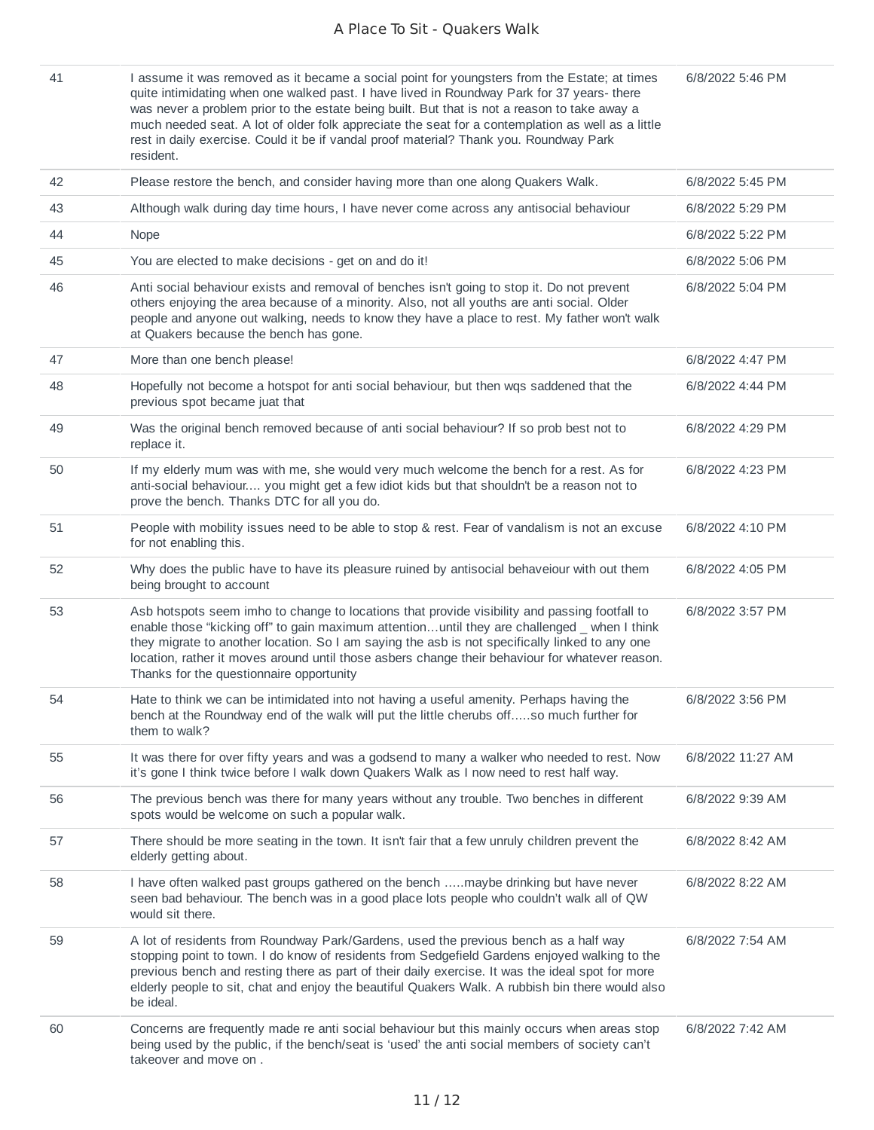| 41 | I assume it was removed as it became a social point for youngsters from the Estate; at times<br>quite intimidating when one walked past. I have lived in Roundway Park for 37 years-there<br>was never a problem prior to the estate being built. But that is not a reason to take away a<br>much needed seat. A lot of older folk appreciate the seat for a contemplation as well as a little<br>rest in daily exercise. Could it be if vandal proof material? Thank you. Roundway Park<br>resident. | 6/8/2022 5:46 PM  |
|----|-------------------------------------------------------------------------------------------------------------------------------------------------------------------------------------------------------------------------------------------------------------------------------------------------------------------------------------------------------------------------------------------------------------------------------------------------------------------------------------------------------|-------------------|
| 42 | Please restore the bench, and consider having more than one along Quakers Walk.                                                                                                                                                                                                                                                                                                                                                                                                                       | 6/8/2022 5:45 PM  |
| 43 | Although walk during day time hours, I have never come across any antisocial behaviour                                                                                                                                                                                                                                                                                                                                                                                                                | 6/8/2022 5:29 PM  |
| 44 | Nope                                                                                                                                                                                                                                                                                                                                                                                                                                                                                                  | 6/8/2022 5:22 PM  |
| 45 | You are elected to make decisions - get on and do it!                                                                                                                                                                                                                                                                                                                                                                                                                                                 | 6/8/2022 5:06 PM  |
| 46 | Anti social behaviour exists and removal of benches isn't going to stop it. Do not prevent<br>others enjoying the area because of a minority. Also, not all youths are anti social. Older<br>people and anyone out walking, needs to know they have a place to rest. My father won't walk<br>at Quakers because the bench has gone.                                                                                                                                                                   | 6/8/2022 5:04 PM  |
| 47 | More than one bench please!                                                                                                                                                                                                                                                                                                                                                                                                                                                                           | 6/8/2022 4:47 PM  |
| 48 | Hopefully not become a hotspot for anti social behaviour, but then wqs saddened that the<br>previous spot became juat that                                                                                                                                                                                                                                                                                                                                                                            | 6/8/2022 4:44 PM  |
| 49 | Was the original bench removed because of anti social behaviour? If so prob best not to<br>replace it.                                                                                                                                                                                                                                                                                                                                                                                                | 6/8/2022 4:29 PM  |
| 50 | If my elderly mum was with me, she would very much welcome the bench for a rest. As for<br>anti-social behaviour you might get a few idiot kids but that shouldn't be a reason not to<br>prove the bench. Thanks DTC for all you do.                                                                                                                                                                                                                                                                  | 6/8/2022 4:23 PM  |
| 51 | People with mobility issues need to be able to stop & rest. Fear of vandalism is not an excuse<br>for not enabling this.                                                                                                                                                                                                                                                                                                                                                                              | 6/8/2022 4:10 PM  |
| 52 | Why does the public have to have its pleasure ruined by antisocial behaveiour with out them<br>being brought to account                                                                                                                                                                                                                                                                                                                                                                               | 6/8/2022 4:05 PM  |
| 53 | Asb hotspots seem imho to change to locations that provide visibility and passing footfall to<br>enable those "kicking off" to gain maximum attentionuntil they are challenged _ when I think<br>they migrate to another location. So I am saying the asb is not specifically linked to any one<br>location, rather it moves around until those asbers change their behaviour for whatever reason.<br>Thanks for the questionnaire opportunity                                                        | 6/8/2022 3:57 PM  |
| 54 | Hate to think we can be intimidated into not having a useful amenity. Perhaps having the<br>bench at the Roundway end of the walk will put the little cherubs offso much further for<br>them to walk?                                                                                                                                                                                                                                                                                                 | 6/8/2022 3:56 PM  |
| 55 | It was there for over fifty years and was a godsend to many a walker who needed to rest. Now<br>it's gone I think twice before I walk down Quakers Walk as I now need to rest half way.                                                                                                                                                                                                                                                                                                               | 6/8/2022 11:27 AM |
| 56 | The previous bench was there for many years without any trouble. Two benches in different<br>spots would be welcome on such a popular walk.                                                                                                                                                                                                                                                                                                                                                           | 6/8/2022 9:39 AM  |
| 57 | There should be more seating in the town. It isn't fair that a few unruly children prevent the<br>elderly getting about.                                                                                                                                                                                                                                                                                                                                                                              | 6/8/2022 8:42 AM  |
| 58 | I have often walked past groups gathered on the bench maybe drinking but have never<br>seen bad behaviour. The bench was in a good place lots people who couldn't walk all of QW<br>would sit there.                                                                                                                                                                                                                                                                                                  | 6/8/2022 8:22 AM  |
| 59 | A lot of residents from Roundway Park/Gardens, used the previous bench as a half way<br>stopping point to town. I do know of residents from Sedgefield Gardens enjoyed walking to the<br>previous bench and resting there as part of their daily exercise. It was the ideal spot for more<br>elderly people to sit, chat and enjoy the beautiful Quakers Walk. A rubbish bin there would also<br>be ideal.                                                                                            | 6/8/2022 7:54 AM  |
| 60 | Concerns are frequently made re anti social behaviour but this mainly occurs when areas stop<br>being used by the public, if the bench/seat is 'used' the anti social members of society can't<br>takeover and move on.                                                                                                                                                                                                                                                                               | 6/8/2022 7:42 AM  |